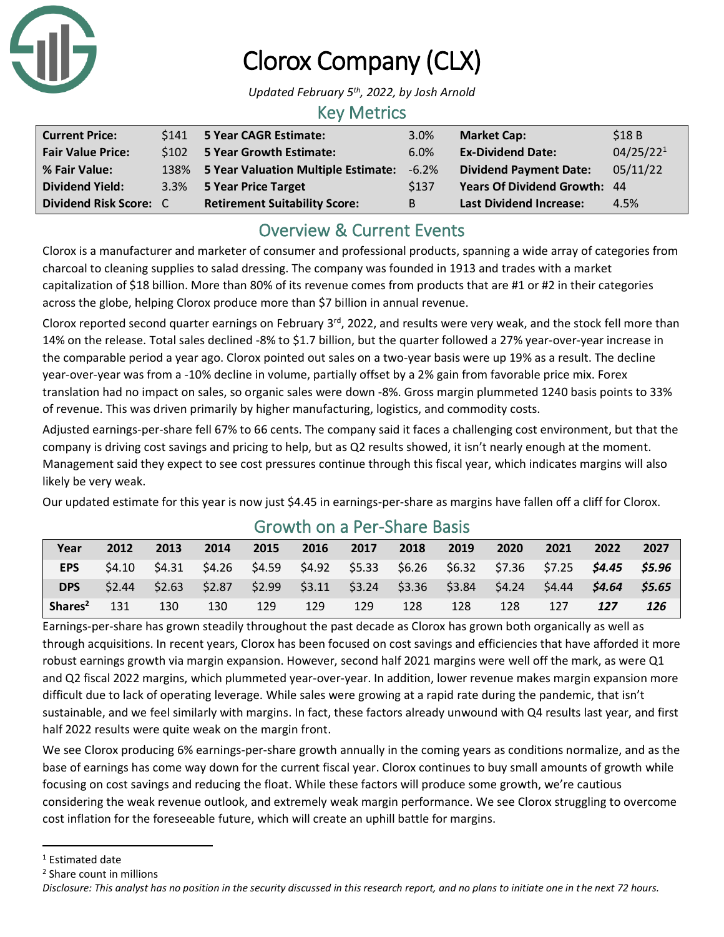

# Clorox Company (CLX)

*Updated February 5th, 2022, by Josh Arnold*

### Key Metrics

| <b>Current Price:</b>    | \$141 5 Year CAGR Estimate:              | 3.0%    | <b>Market Cap:</b>             | \$18B                 |
|--------------------------|------------------------------------------|---------|--------------------------------|-----------------------|
| <b>Fair Value Price:</b> | \$102 5 Year Growth Estimate:            | 6.0%    | <b>Ex-Dividend Date:</b>       | 04/25/22 <sup>1</sup> |
| % Fair Value:            | 138% 5 Year Valuation Multiple Estimate: | $-6.2%$ | <b>Dividend Payment Date:</b>  | 05/11/22              |
| <b>Dividend Yield:</b>   | 3.3% 5 Year Price Target                 | \$137   | Years Of Dividend Growth: 44   |                       |
| Dividend Risk Score: C   | <b>Retirement Suitability Score:</b>     | B       | <b>Last Dividend Increase:</b> | 4.5%                  |

# Overview & Current Events

Clorox is a manufacturer and marketer of consumer and professional products, spanning a wide array of categories from charcoal to cleaning supplies to salad dressing. The company was founded in 1913 and trades with a market capitalization of \$18 billion. More than 80% of its revenue comes from products that are #1 or #2 in their categories across the globe, helping Clorox produce more than \$7 billion in annual revenue.

Clorox reported second quarter earnings on February  $3^{rd}$ , 2022, and results were very weak, and the stock fell more than 14% on the release. Total sales declined -8% to \$1.7 billion, but the quarter followed a 27% year-over-year increase in the comparable period a year ago. Clorox pointed out sales on a two-year basis were up 19% as a result. The decline year-over-year was from a -10% decline in volume, partially offset by a 2% gain from favorable price mix. Forex translation had no impact on sales, so organic sales were down -8%. Gross margin plummeted 1240 basis points to 33% of revenue. This was driven primarily by higher manufacturing, logistics, and commodity costs.

Adjusted earnings-per-share fell 67% to 66 cents. The company said it faces a challenging cost environment, but that the company is driving cost savings and pricing to help, but as Q2 results showed, it isn't nearly enough at the moment. Management said they expect to see cost pressures continue through this fiscal year, which indicates margins will also likely be very weak.

Our updated estimate for this year is now just \$4.45 in earnings-per-share as margins have fallen off a cliff for Clorox.

| Year                | 2012   | 2013   | 2014                                                                                 | 2015 | 2016 | 2017 | 2018 | 2019 | 2020   | 2021 | 2022                        | 2027 |
|---------------------|--------|--------|--------------------------------------------------------------------------------------|------|------|------|------|------|--------|------|-----------------------------|------|
| <b>EPS</b>          | 54.10  | \$4.31 | \$4.26  \$4.59  \$4.92  \$5.33  \$6.26  \$6.32  \$7.36  \$7.25 <b>\$4.45  \$5.96</b> |      |      |      |      |      |        |      |                             |      |
| <b>DPS</b>          | \$2.44 | \$2.63 | $$2.87$ $$2.99$ $$3.11$ $$3.24$ $$3.36$ $$3.84$                                      |      |      |      |      |      | \$4.24 |      | \$4.44 <b>\$4.64 \$5.65</b> |      |
| Shares <sup>2</sup> | 131    | 130    | 130                                                                                  | 129  | 129  | 129  | 128  | 128  | 128    | 127  | 127                         | 126  |

### Growth on a Per-Share Basis

Earnings-per-share has grown steadily throughout the past decade as Clorox has grown both organically as well as through acquisitions. In recent years, Clorox has been focused on cost savings and efficiencies that have afforded it more robust earnings growth via margin expansion. However, second half 2021 margins were well off the mark, as were Q1 and Q2 fiscal 2022 margins, which plummeted year-over-year. In addition, lower revenue makes margin expansion more difficult due to lack of operating leverage. While sales were growing at a rapid rate during the pandemic, that isn't sustainable, and we feel similarly with margins. In fact, these factors already unwound with Q4 results last year, and first half 2022 results were quite weak on the margin front.

We see Clorox producing 6% earnings-per-share growth annually in the coming years as conditions normalize, and as the base of earnings has come way down for the current fiscal year. Clorox continues to buy small amounts of growth while focusing on cost savings and reducing the float. While these factors will produce some growth, we're cautious considering the weak revenue outlook, and extremely weak margin performance. We see Clorox struggling to overcome cost inflation for the foreseeable future, which will create an uphill battle for margins.

<sup>1</sup> Estimated date

<sup>2</sup> Share count in millions

*Disclosure: This analyst has no position in the security discussed in this research report, and no plans to initiate one in the next 72 hours.*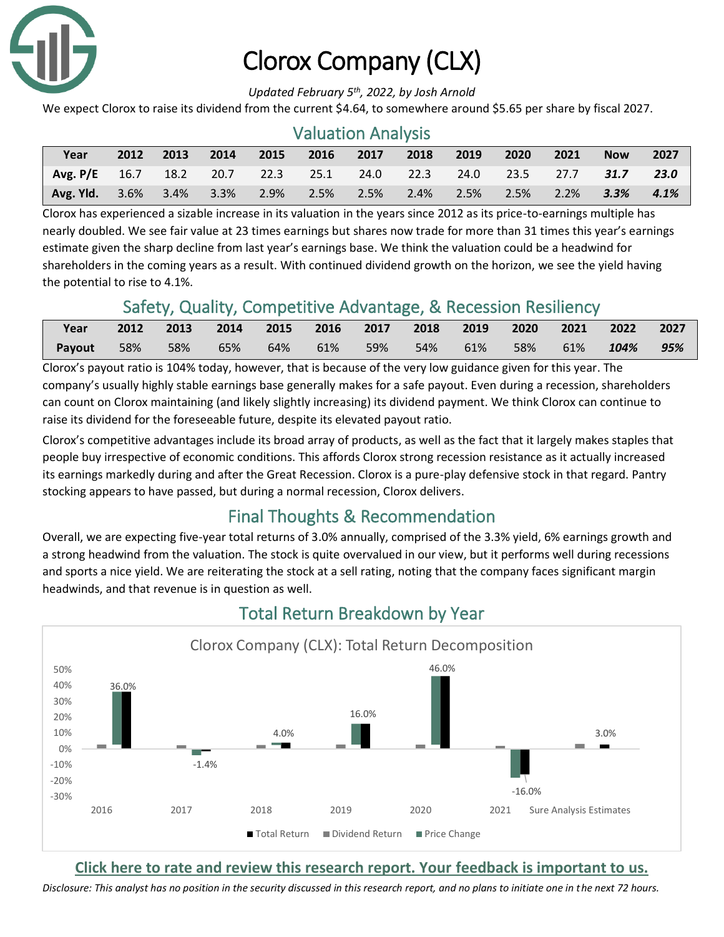

# Clorox Company (CLX)

#### *Updated February 5th, 2022, by Josh Arnold*

We expect Clorox to raise its dividend from the current \$4.64, to somewhere around \$5.65 per share by fiscal 2027.

| <b>Valuation Analysis</b> |      |         |      |      |                |           |      |      |      |      |            |      |
|---------------------------|------|---------|------|------|----------------|-----------|------|------|------|------|------------|------|
| Year                      | 2012 | 2013    | 2014 | 2015 | 2016           | 2017      | 2018 | 2019 | 2020 | 2021 | <b>Now</b> | 2027 |
| Avg. $P/E = 16.7$         |      | 18.2    |      |      | 20.7 22.3 25.1 | 24.0 22.3 |      | 24.0 | 23.5 | 27.7 | 31.7       | 23.0 |
| Avg. Yld.                 | 3.6% | $3.4\%$ | 3.3% | 2.9% | 2.5%           | 2.5%      | 2.4% | 2.5% | 2.5% | 2.2% | 3.3%       | 4.1% |

Clorox has experienced a sizable increase in its valuation in the years since 2012 as its price-to-earnings multiple has nearly doubled. We see fair value at 23 times earnings but shares now trade for more than 31 times this year's earnings estimate given the sharp decline from last year's earnings base. We think the valuation could be a headwind for shareholders in the coming years as a result. With continued dividend growth on the horizon, we see the yield having the potential to rise to 4.1%.

## Safety, Quality, Competitive Advantage, & Recession Resiliency

| Year   | 2012 |     |     |  |                     |     | 2013 2014 2015 2016 2017 2018 2019 2020 2021 2022 2027 |     |
|--------|------|-----|-----|--|---------------------|-----|--------------------------------------------------------|-----|
| Payout | 58%  | 58% | 65% |  | 64% 61% 59% 54% 61% | 58% | 61% 104%                                               | 95% |

Clorox's payout ratio is 104% today, however, that is because of the very low guidance given for this year. The company's usually highly stable earnings base generally makes for a safe payout. Even during a recession, shareholders can count on Clorox maintaining (and likely slightly increasing) its dividend payment. We think Clorox can continue to raise its dividend for the foreseeable future, despite its elevated payout ratio.

Clorox's competitive advantages include its broad array of products, as well as the fact that it largely makes staples that people buy irrespective of economic conditions. This affords Clorox strong recession resistance as it actually increased its earnings markedly during and after the Great Recession. Clorox is a pure-play defensive stock in that regard. Pantry stocking appears to have passed, but during a normal recession, Clorox delivers.

# Final Thoughts & Recommendation

Overall, we are expecting five-year total returns of 3.0% annually, comprised of the 3.3% yield, 6% earnings growth and a strong headwind from the valuation. The stock is quite overvalued in our view, but it performs well during recessions and sports a nice yield. We are reiterating the stock at a sell rating, noting that the company faces significant margin headwinds, and that revenue is in question as well.



# Total Return Breakdown by Year

#### **[Click here to rate and review this research report. Your feedback is important to us.](https://suredividend.typeform.com/to/e7Q96E)**

*Disclosure: This analyst has no position in the security discussed in this research report, and no plans to initiate one in the next 72 hours.*